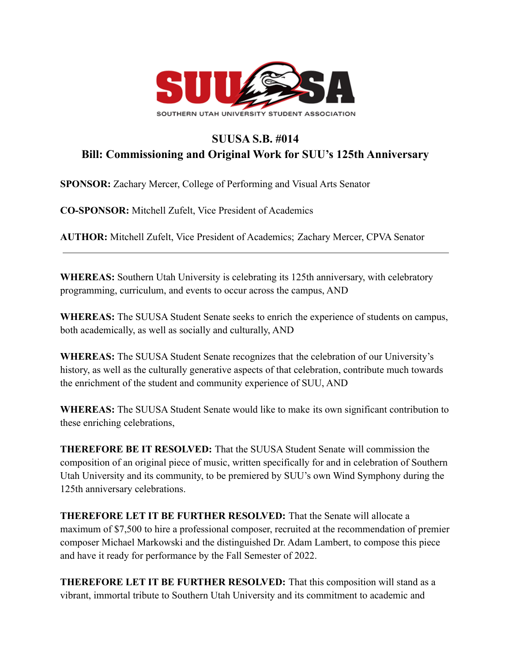

## **SUUSA S.B. #014 Bill: Commissioning and Original Work for SUU's 125th Anniversary**

**SPONSOR:** Zachary Mercer, College of Performing and Visual Arts Senator

**CO-SPONSOR:** Mitchell Zufelt, Vice President of Academics

**AUTHOR:** Mitchell Zufelt, Vice President of Academics; Zachary Mercer, CPVA Senator

**WHEREAS:** Southern Utah University is celebrating its 125th anniversary, with celebratory programming, curriculum, and events to occur across the campus, AND

**WHEREAS:** The SUUSA Student Senate seeks to enrich the experience of students on campus, both academically, as well as socially and culturally, AND

**WHEREAS:** The SUUSA Student Senate recognizes that the celebration of our University's history, as well as the culturally generative aspects of that celebration, contribute much towards the enrichment of the student and community experience of SUU, AND

**WHEREAS:** The SUUSA Student Senate would like to make its own significant contribution to these enriching celebrations,

**THEREFORE BE IT RESOLVED:** That the SUUSA Student Senate will commission the composition of an original piece of music, written specifically for and in celebration of Southern Utah University and its community, to be premiered by SUU's own Wind Symphony during the 125th anniversary celebrations.

**THEREFORE LET IT BE FURTHER RESOLVED:** That the Senate will allocate a maximum of \$7,500 to hire a professional composer, recruited at the recommendation of premier composer Michael Markowski and the distinguished Dr. Adam Lambert, to compose this piece and have it ready for performance by the Fall Semester of 2022.

**THEREFORE LET IT BE FURTHER RESOLVED:** That this composition will stand as a vibrant, immortal tribute to Southern Utah University and its commitment to academic and